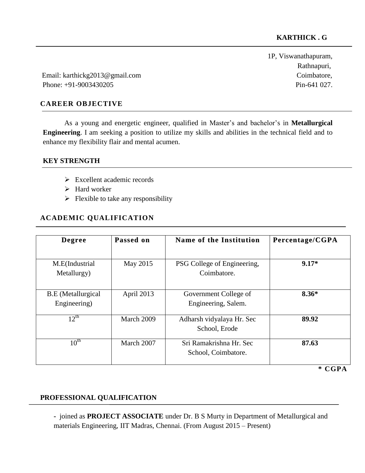1P, Viswanathapuram, Rathnapuri,

Email: [karthickg2013@gmail.com](mailto:karthickg2013@gmail.com) Coimbatore, Phone: +91-9003430205 Pin-641 027.

## **CAREER OBJECTIVE**

As a young and energetic engineer, qualified in Master's and bachelor's in **Metallurgical Engineering**. I am seeking a position to utilize my skills and abilities in the technical field and to enhance my flexibility flair and mental acumen.

#### **KEY STRENGTH**

֧֞֝֬֝֬֝֬֝֬֝֬֝֬֝֬֝֬֝֬֝֬֝֬

- Excellent academic records
- > Hard worker
- $\triangleright$  Flexible to take any responsibility

## **ACADEMIC QUALIFICATION**

| <b>Degree</b>                             | Passed on  | Name of the Institution                        | Percentage/CGPA<br>$9.17*$ |  |
|-------------------------------------------|------------|------------------------------------------------|----------------------------|--|
| M.E(Industrial<br>Metallurgy)             | May 2015   | PSG College of Engineering,<br>Coimbatore.     |                            |  |
| <b>B.E</b> (Metallurgical<br>Engineering) | April 2013 | Government College of<br>Engineering, Salem.   | $8.36*$                    |  |
| $12^{th}$                                 | March 2009 | Adharsh vidyalaya Hr. Sec<br>School, Erode     | 89.92                      |  |
| $10^{\text{th}}$                          | March 2007 | Sri Ramakrishna Hr. Sec<br>School, Coimbatore. | 87.63                      |  |
|                                           |            |                                                | * CGPA                     |  |

## **PROFESSIONAL QUALIFICATION**

**-** joined as **PROJECT ASSOCIATE** under Dr. B S Murty in Department of Metallurgical and materials Engineering, IIT Madras, Chennai. (From August 2015 – Present)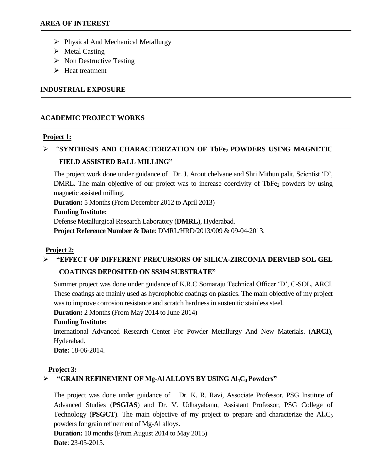- $\triangleright$  Physical And Mechanical Metallurgy
- $\triangleright$  Metal Casting
- $\triangleright$  Non Destructive Testing
- $\triangleright$  Heat treatment

## **INDUSTRIAL EXPOSURE**

# **ACADEMIC PROJECT WORKS**

## **Project 1:**

# "**SYNTHESIS AND CHARACTERIZATION OF TbFe2 POWDERS USING MAGNETIC FIELD ASSISTED BALL MILLING"**

The project work done under guidance of Dr. J. Arout chelvane and Shri Mithun palit, Scientist 'D', DMRL. The main objective of our project was to increase coercivity of TbFe $_2$  powders by using magnetic assisted milling.

**Duration:** 5 Months (From December 2012 to April 2013)

#### **Funding Institute:**

Defense Metallurgical Research Laboratory (**DMRL**), Hyderabad.

**Project Reference Number & Date**: DMRL/HRD/2013/009 & 09-04-2013.

## **Project 2:**

# **"EFFECT OF DIFFERENT PRECURSORS OF SILICA-ZIRCONIA DERVIED SOL GEL**

## **COATINGS DEPOSITED ON SS304 SUBSTRATE"**

Summer project was done under guidance of K.R.C Somaraju Technical Officer 'D', C-SOL, ARCI. These coatings are mainly used as hydrophobic coatings on plastics. The main objective of my project was to improve corrosion resistance and scratch hardness in austenitic stainless steel.

**Duration:** 2 Months (From May 2014 to June 2014)

## **Funding Institute:**

International Advanced Research Center For Powder Metallurgy And New Materials. (**ARCI**), Hyderabad.

**Date:** 18-06-2014.

## **Project 3:**

# **"GRAIN REFINEMENT OF Mg-Al ALLOYS BY USING Al4C3 Powders"**

The project was done under guidance ofDr. K. R. Ravi, Associate Professor, PSG Institute of Advanced Studies (**PSGIAS**) and Dr. V. Udhayabanu, Assistant Professor, PSG College of Technology (**PSGCT**). The main objective of my project to prepare and characterize the  $\text{Al}_4\text{C}_3$ powders for grain refinement of Mg-Al alloys.

**Duration:** 10 months (From August 2014 to May 2015) **Date**: 23-05-2015.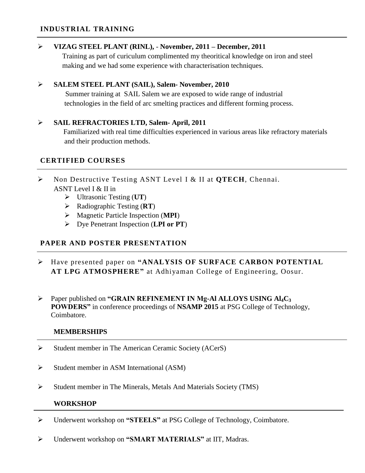## **INDUSTRIAL TRAINING**

#### **VIZAG STEEL PLANT (RINL),** - **November, 2011 – December, 2011**

Training as part of curiculum complimented my theoritical knowledge on iron and steel making and we had some experience with characterisation techniques.

#### **SALEM STEEL PLANT (SAIL), Salem- November, 2010**

 Summer training at SAIL Salem we are exposed to wide range of industrial technologies in the field of arc smelting practices and different forming process.

## **SAIL REFRACTORIES LTD, Salem- April, 2011**

 Familiarized with real time difficulties experienced in various areas like refractory materials and their production methods.

## **CERTIFIED COURSES**

- Non Destructive Testing ASNT Level I & II at **QTECH**, Chennai. ASNT Level I & II in
	- Ultrasonic Testing (**UT**)
	- Radiographic Testing (**RT**)
	- Magnetic Particle Inspection (**MPI**)
	- Dye Penetrant Inspection (**LPI or PT**)

# **PAPER AND POSTER PRESENTATION**

- Have presented paper on **"ANALYSIS OF SURFACE CARBON POTENTIAL AT LPG ATMOSPHERE"** at Adhiyaman College of Engineering, Oosur.
- Paper published on **"GRAIN REFINEMENT IN Mg-Al ALLOYS USING Al4C<sup>3</sup> POWDERS"** in conference proceedings of **NSAMP 2015** at PSG College of Technology, Coimbatore.

#### **MEMBERSHIPS**

- $\triangleright$  Student member in The American Ceramic Society (ACerS)
- $\triangleright$  Student member in ASM International (ASM)
- $\triangleright$  Student member in The Minerals, Metals And Materials Society (TMS)

#### **WORKSHOP**

- Underwent workshop on **"STEELS"** at PSG College of Technology, Coimbatore.
- Underwent workshop on **"SMART MATERIALS"** at IIT, Madras.